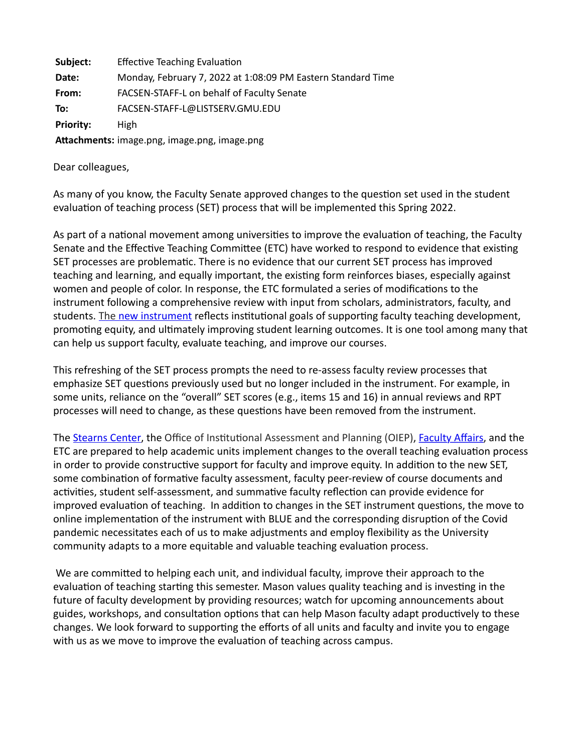**Subject:** Effective Teaching Evaluation **Date:** Monday, February 7, 2022 at 1:08:09 PM Eastern Standard Time **From:** FACSEN-STAFF-L on behalf of Faculty Senate **To:** FACSEN-STAFF-L@LISTSERV.GMU.EDU Priority: High **A4achments:** image.png, image.png, image.png

Dear colleagues,

As many of you know, the Faculty Senate approved changes to the question set used in the student evaluation of teaching process (SET) process that will be implemented this Spring 2022.

As part of a national movement among universities to improve the evaluation of teaching, the Faculty Senate and the Effective Teaching Committee (ETC) have worked to respond to evidence that existing SET processes are problematic. There is no evidence that our current SET process has improved teaching and learning, and equally important, the existing form reinforces biases, especially against women and people of color. In response, the ETC formulated a series of modifications to the instrument following a comprehensive review with input from scholars, administrators, faculty, and students. The [new instrument](https://resources.gmu.edu/facstaff/senate/FS_MINUTES_2021-09-22.pdf) reflects institutional goals of supporting faculty teaching development, promoting equity, and ultimately improving student learning outcomes. It is one tool among many that can help us support faculty, evaluate teaching, and improve our courses.

This refreshing of the SET process prompts the need to re-assess faculty review processes that emphasize SET questions previously used but no longer included in the instrument. For example, in some units, reliance on the "overall" SET scores (e.g., items 15 and 16) in annual reviews and RPT processes will need to change, as these questions have been removed from the instrument.

The [Stearns Center](https://stearnscenter.gmu.edu/), the Office of Institutional Assessment and Planning (OIEP), [Faculty Affairs,](https://provost.gmu.edu/faculty-matters) and the ETC are prepared to help academic units implement changes to the overall teaching evaluation process in order to provide constructive support for faculty and improve equity. In addition to the new SET, some combination of formative faculty assessment, faculty peer-review of course documents and activities, student self-assessment, and summative faculty reflection can provide evidence for improved evaluation of teaching. In addition to changes in the SET instrument questions, the move to online implementation of the instrument with BLUE and the corresponding disruption of the Covid pandemic necessitates each of us to make adjustments and employ flexibility as the University community adapts to a more equitable and valuable teaching evaluation process.

We are committed to helping each unit, and individual faculty, improve their approach to the evaluation of teaching starting this semester. Mason values quality teaching and is investing in the future of faculty development by providing resources; watch for upcoming announcements about guides, workshops, and consultation options that can help Mason faculty adapt productively to these changes. We look forward to supporting the efforts of all units and faculty and invite you to engage with us as we move to improve the evaluation of teaching across campus.